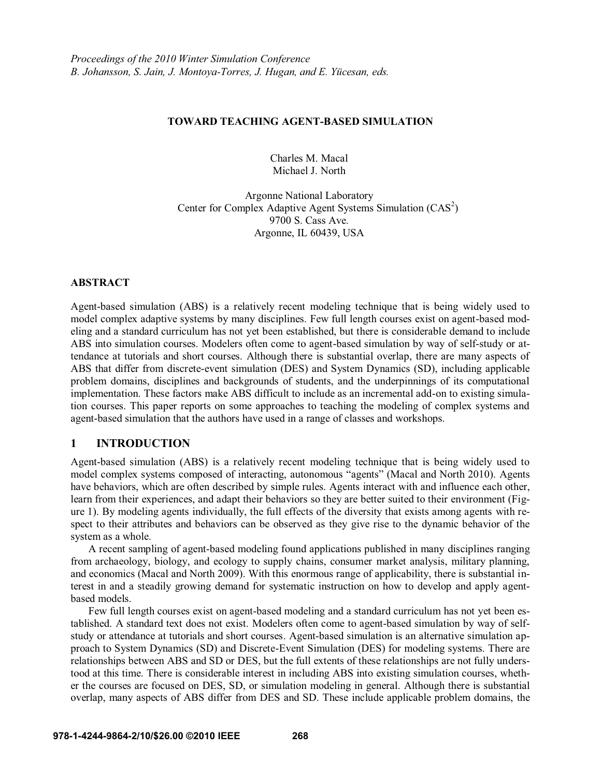#### **TOWARD TEACHING AGENT-BASED SIMULATION**

Charles M. Macal Michael J. North

Argonne National Laboratory Center for Complex Adaptive Agent Systems Simulation  $(CAS<sup>2</sup>)$ 9700 S. Cass Ave. Argonne, IL 60439, USA

#### **ABSTRACT**

Agent-based simulation (ABS) is a relatively recent modeling technique that is being widely used to model complex adaptive systems by many disciplines. Few full length courses exist on agent-based modeling and a standard curriculum has not yet been established, but there is considerable demand to include ABS into simulation courses. Modelers often come to agent-based simulation by way of self-study or attendance at tutorials and short courses. Although there is substantial overlap, there are many aspects of ABS that differ from discrete-event simulation (DES) and System Dynamics (SD), including applicable problem domains, disciplines and backgrounds of students, and the underpinnings of its computational implementation. These factors make ABS difficult to include as an incremental add-on to existing simulation courses. This paper reports on some approaches to teaching the modeling of complex systems and agent-based simulation that the authors have used in a range of classes and workshops.

## **1 INTRODUCTION**

Agent-based simulation (ABS) is a relatively recent modeling technique that is being widely used to model complex systems composed of interacting, autonomous "agents" (Macal and North 2010). Agents have behaviors, which are often described by simple rules. Agents interact with and influence each other, learn from their experiences, and adapt their behaviors so they are better suited to their environment (Figure 1). By modeling agents individually, the full effects of the diversity that exists among agents with respect to their attributes and behaviors can be observed as they give rise to the dynamic behavior of the system as a whole.

A recent sampling of agent-based modeling found applications published in many disciplines ranging from archaeology, biology, and ecology to supply chains, consumer market analysis, military planning, and economics (Macal and North 2009). With this enormous range of applicability, there is substantial interest in and a steadily growing demand for systematic instruction on how to develop and apply agentbased models.

Few full length courses exist on agent-based modeling and a standard curriculum has not yet been established. A standard text does not exist. Modelers often come to agent-based simulation by way of selfstudy or attendance at tutorials and short courses. Agent-based simulation is an alternative simulation approach to System Dynamics (SD) and Discrete-Event Simulation (DES) for modeling systems. There are relationships between ABS and SD or DES, but the full extents of these relationships are not fully understood at this time. There is considerable interest in including ABS into existing simulation courses, whether the courses are focused on DES, SD, or simulation modeling in general. Although there is substantial overlap, many aspects of ABS differ from DES and SD. These include applicable problem domains, the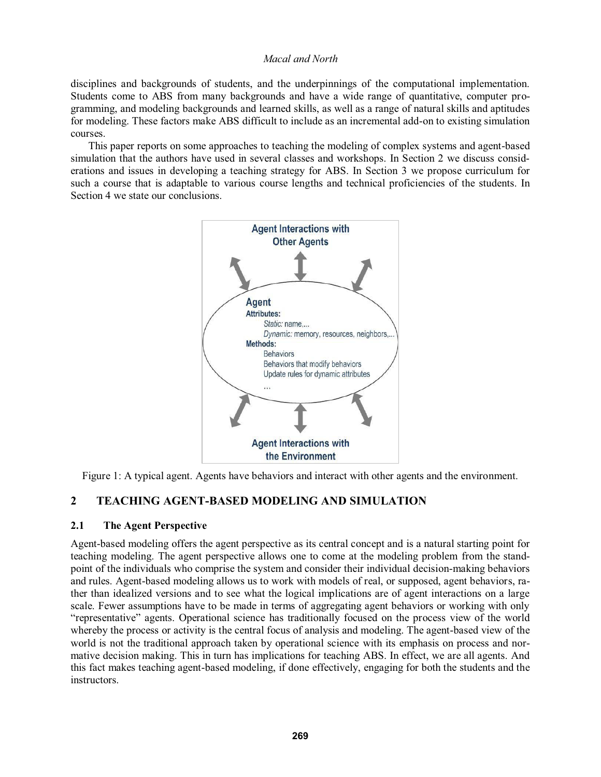disciplines and backgrounds of students, and the underpinnings of the computational implementation. Students come to ABS from many backgrounds and have a wide range of quantitative, computer programming, and modeling backgrounds and learned skills, as well as a range of natural skills and aptitudes for modeling. These factors make ABS difficult to include as an incremental add-on to existing simulation courses.

This paper reports on some approaches to teaching the modeling of complex systems and agent-based simulation that the authors have used in several classes and workshops. In Section 2 we discuss considerations and issues in developing a teaching strategy for ABS. In Section 3 we propose curriculum for such a course that is adaptable to various course lengths and technical proficiencies of the students. In Section 4 we state our conclusions.



Figure 1: A typical agent. Agents have behaviors and interact with other agents and the environment.

# **2 TEACHING AGENT-BASED MODELING AND SIMULATION**

## **2.1 The Agent Perspective**

Agent-based modeling offers the agent perspective as its central concept and is a natural starting point for teaching modeling. The agent perspective allows one to come at the modeling problem from the standpoint of the individuals who comprise the system and consider their individual decision-making behaviors and rules. Agent-based modeling allows us to work with models of real, or supposed, agent behaviors, rather than idealized versions and to see what the logical implications are of agent interactions on a large scale. Fewer assumptions have to be made in terms of aggregating agent behaviors or working with only "representative" agents. Operational science has traditionally focused on the process view of the world whereby the process or activity is the central focus of analysis and modeling. The agent-based view of the world is not the traditional approach taken by operational science with its emphasis on process and normative decision making. This in turn has implications for teaching ABS. In effect, we are all agents. And this fact makes teaching agent-based modeling, if done effectively, engaging for both the students and the instructors.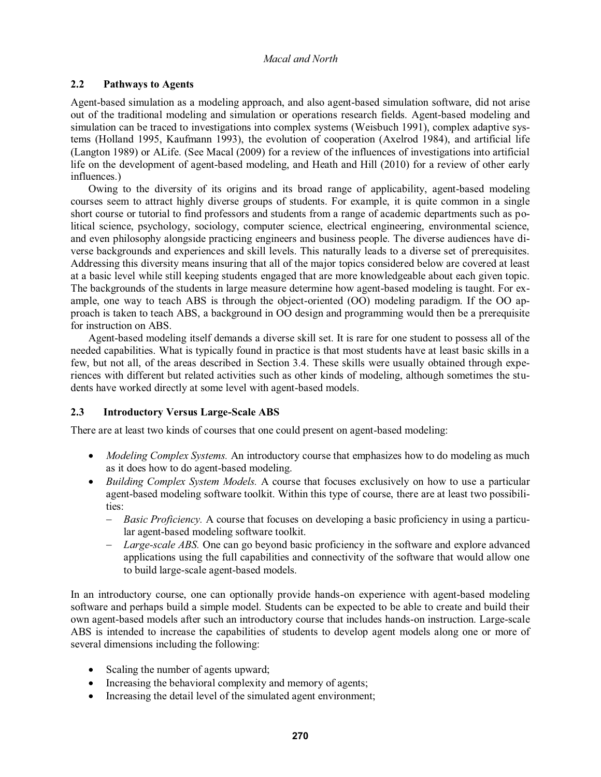## **2.2 Pathways to Agents**

Agent-based simulation as a modeling approach, and also agent-based simulation software, did not arise out of the traditional modeling and simulation or operations research fields. Agent-based modeling and simulation can be traced to investigations into complex systems (Weisbuch 1991), complex adaptive systems (Holland 1995, Kaufmann 1993), the evolution of cooperation (Axelrod 1984), and artificial life (Langton 1989) or ALife. (See Macal (2009) for a review of the influences of investigations into artificial life on the development of agent-based modeling, and Heath and Hill (2010) for a review of other early influences.)

Owing to the diversity of its origins and its broad range of applicability, agent-based modeling courses seem to attract highly diverse groups of students. For example, it is quite common in a single short course or tutorial to find professors and students from a range of academic departments such as political science, psychology, sociology, computer science, electrical engineering, environmental science, and even philosophy alongside practicing engineers and business people. The diverse audiences have diverse backgrounds and experiences and skill levels. This naturally leads to a diverse set of prerequisites. Addressing this diversity means insuring that all of the major topics considered below are covered at least at a basic level while still keeping students engaged that are more knowledgeable about each given topic. The backgrounds of the students in large measure determine how agent-based modeling is taught. For example, one way to teach ABS is through the object-oriented (OO) modeling paradigm. If the OO approach is taken to teach ABS, a background in OO design and programming would then be a prerequisite for instruction on ABS.

Agent-based modeling itself demands a diverse skill set. It is rare for one student to possess all of the needed capabilities. What is typically found in practice is that most students have at least basic skills in a few, but not all, of the areas described in Section 3.4. These skills were usually obtained through experiences with different but related activities such as other kinds of modeling, although sometimes the students have worked directly at some level with agent-based models.

## **2.3 Introductory Versus Large-Scale ABS**

There are at least two kinds of courses that one could present on agent-based modeling:

- *Modeling Complex Systems*. An introductory course that emphasizes how to do modeling as much as it does how to do agent-based modeling.
- *Building Complex System Models.* A course that focuses exclusively on how to use a particular agent-based modeling software toolkit. Within this type of course, there are at least two possibilities:
	- *Basic Proficiency.* A course that focuses on developing a basic proficiency in using a particular agent-based modeling software toolkit.
	- *Large-scale ABS.* One can go beyond basic proficiency in the software and explore advanced applications using the full capabilities and connectivity of the software that would allow one to build large-scale agent-based models.

In an introductory course, one can optionally provide hands-on experience with agent-based modeling software and perhaps build a simple model. Students can be expected to be able to create and build their own agent-based models after such an introductory course that includes hands-on instruction. Large-scale ABS is intended to increase the capabilities of students to develop agent models along one or more of several dimensions including the following:

- Scaling the number of agents upward;
- Increasing the behavioral complexity and memory of agents;
- Increasing the detail level of the simulated agent environment;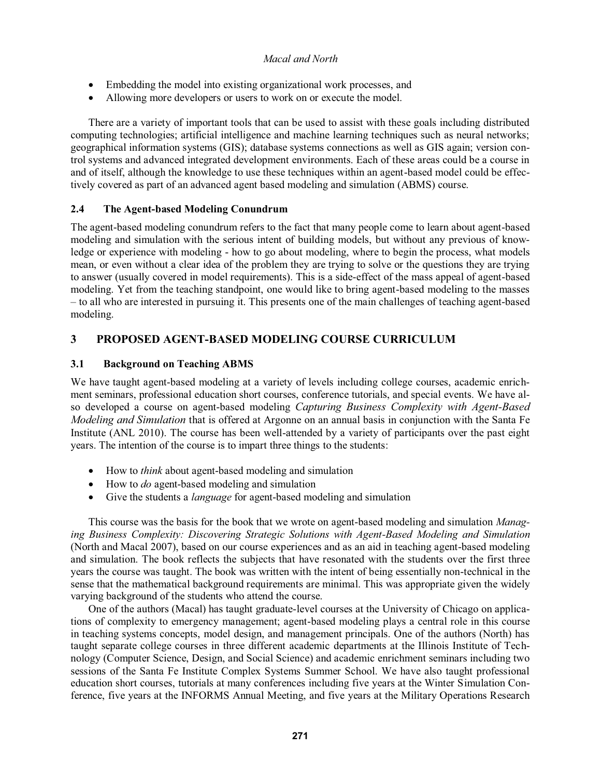- Embedding the model into existing organizational work processes, and
- Allowing more developers or users to work on or execute the model.

There are a variety of important tools that can be used to assist with these goals including distributed computing technologies; artificial intelligence and machine learning techniques such as neural networks; geographical information systems (GIS); database systems connections as well as GIS again; version control systems and advanced integrated development environments. Each of these areas could be a course in and of itself, although the knowledge to use these techniques within an agent-based model could be effectively covered as part of an advanced agent based modeling and simulation (ABMS) course.

## **2.4 The Agent-based Modeling Conundrum**

The agent-based modeling conundrum refers to the fact that many people come to learn about agent-based modeling and simulation with the serious intent of building models, but without any previous of knowledge or experience with modeling - how to go about modeling, where to begin the process, what models mean, or even without a clear idea of the problem they are trying to solve or the questions they are trying to answer (usually covered in model requirements). This is a side-effect of the mass appeal of agent-based modeling. Yet from the teaching standpoint, one would like to bring agent-based modeling to the masses ! to all who are interested in pursuing it. This presents one of the main challenges of teaching agent-based modeling.

# **3 PROPOSED AGENT-BASED MODELING COURSE CURRICULUM**

## **3.1 Background on Teaching ABMS**

We have taught agent-based modeling at a variety of levels including college courses, academic enrichment seminars, professional education short courses, conference tutorials, and special events. We have also developed a course on agent-based modeling *Capturing Business Complexity with Agent-Based Modeling and Simulation* that is offered at Argonne on an annual basis in conjunction with the Santa Fe Institute (ANL 2010). The course has been well-attended by a variety of participants over the past eight years. The intention of the course is to impart three things to the students:

- How to *think* about agent-based modeling and simulation
- How to *do* agent-based modeling and simulation
- Give the students a *language* for agent-based modeling and simulation

This course was the basis for the book that we wrote on agent-based modeling and simulation *Managing Business Complexity: Discovering Strategic Solutions with Agent-Based Modeling and Simulation* (North and Macal 2007), based on our course experiences and as an aid in teaching agent-based modeling and simulation. The book reflects the subjects that have resonated with the students over the first three years the course was taught. The book was written with the intent of being essentially non-technical in the sense that the mathematical background requirements are minimal. This was appropriate given the widely varying background of the students who attend the course.

One of the authors (Macal) has taught graduate-level courses at the University of Chicago on applications of complexity to emergency management; agent-based modeling plays a central role in this course in teaching systems concepts, model design, and management principals. One of the authors (North) has taught separate college courses in three different academic departments at the Illinois Institute of Technology (Computer Science, Design, and Social Science) and academic enrichment seminars including two sessions of the Santa Fe Institute Complex Systems Summer School. We have also taught professional education short courses, tutorials at many conferences including five years at the Winter Simulation Conference, five years at the INFORMS Annual Meeting, and five years at the Military Operations Research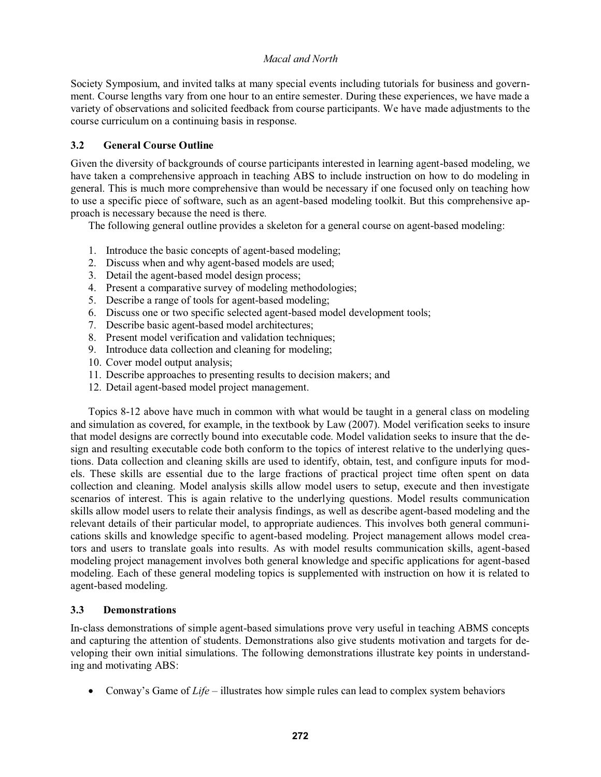Society Symposium, and invited talks at many special events including tutorials for business and government. Course lengths vary from one hour to an entire semester. During these experiences, we have made a variety of observations and solicited feedback from course participants. We have made adjustments to the course curriculum on a continuing basis in response.

## **3.2 General Course Outline**

Given the diversity of backgrounds of course participants interested in learning agent-based modeling, we have taken a comprehensive approach in teaching ABS to include instruction on how to do modeling in general. This is much more comprehensive than would be necessary if one focused only on teaching how to use a specific piece of software, such as an agent-based modeling toolkit. But this comprehensive approach is necessary because the need is there.

The following general outline provides a skeleton for a general course on agent-based modeling:

- 1. Introduce the basic concepts of agent-based modeling;
- 2. Discuss when and why agent-based models are used;
- 3. Detail the agent-based model design process;
- 4. Present a comparative survey of modeling methodologies;
- 5. Describe a range of tools for agent-based modeling;
- 6. Discuss one or two specific selected agent-based model development tools;
- 7. Describe basic agent-based model architectures;
- 8. Present model verification and validation techniques;
- 9. Introduce data collection and cleaning for modeling;
- 10. Cover model output analysis;
- 11. Describe approaches to presenting results to decision makers; and
- 12. Detail agent-based model project management.

Topics 8-12 above have much in common with what would be taught in a general class on modeling and simulation as covered, for example, in the textbook by Law (2007). Model verification seeks to insure that model designs are correctly bound into executable code. Model validation seeks to insure that the design and resulting executable code both conform to the topics of interest relative to the underlying questions. Data collection and cleaning skills are used to identify, obtain, test, and configure inputs for models. These skills are essential due to the large fractions of practical project time often spent on data collection and cleaning. Model analysis skills allow model users to setup, execute and then investigate scenarios of interest. This is again relative to the underlying questions. Model results communication skills allow model users to relate their analysis findings, as well as describe agent-based modeling and the relevant details of their particular model, to appropriate audiences. This involves both general communications skills and knowledge specific to agent-based modeling. Project management allows model creators and users to translate goals into results. As with model results communication skills, agent-based modeling project management involves both general knowledge and specific applications for agent-based modeling. Each of these general modeling topics is supplemented with instruction on how it is related to agent-based modeling.

## **3.3 Demonstrations**

In-class demonstrations of simple agent-based simulations prove very useful in teaching ABMS concepts and capturing the attention of students. Demonstrations also give students motivation and targets for developing their own initial simulations. The following demonstrations illustrate key points in understanding and motivating ABS:

• Conway's Game of *Life* – illustrates how simple rules can lead to complex system behaviors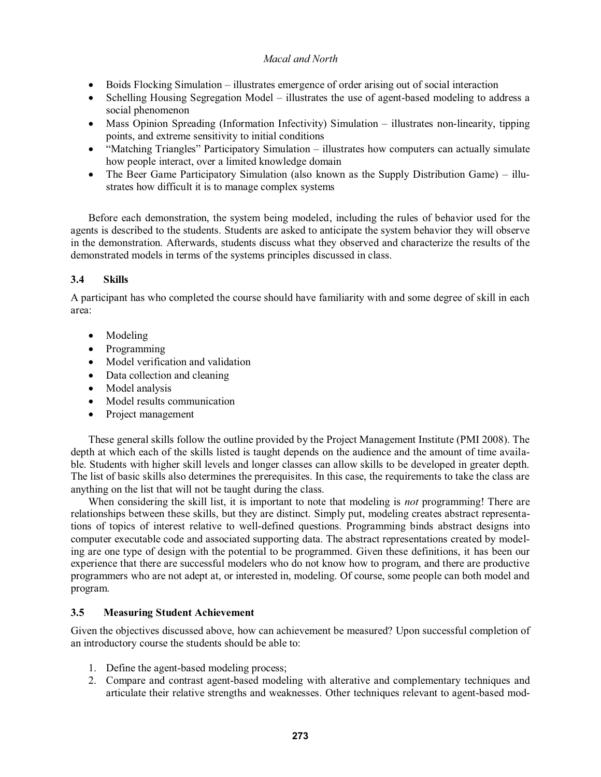- Boids Flocking Simulation illustrates emergence of order arising out of social interaction
- Schelling Housing Segregation Model illustrates the use of agent-based modeling to address a social phenomenon
- Mass Opinion Spreading (Information Infectivity) Simulation illustrates non-linearity, tipping points, and extreme sensitivity to initial conditions
- "Matching Triangles" Participatory Simulation illustrates how computers can actually simulate how people interact, over a limited knowledge domain
- The Beer Game Participatory Simulation (also known as the Supply Distribution Game) illustrates how difficult it is to manage complex systems

Before each demonstration, the system being modeled, including the rules of behavior used for the agents is described to the students. Students are asked to anticipate the system behavior they will observe in the demonstration. Afterwards, students discuss what they observed and characterize the results of the demonstrated models in terms of the systems principles discussed in class.

# **3.4 Skills**

A participant has who completed the course should have familiarity with and some degree of skill in each area:

- Modeling
- Programming
- Model verification and validation
- Data collection and cleaning
- Model analysis
- Model results communication
- Project management

These general skills follow the outline provided by the Project Management Institute (PMI 2008). The depth at which each of the skills listed is taught depends on the audience and the amount of time available. Students with higher skill levels and longer classes can allow skills to be developed in greater depth. The list of basic skills also determines the prerequisites. In this case, the requirements to take the class are anything on the list that will not be taught during the class.

When considering the skill list, it is important to note that modeling is *not* programming! There are relationships between these skills, but they are distinct. Simply put, modeling creates abstract representations of topics of interest relative to well-defined questions. Programming binds abstract designs into computer executable code and associated supporting data. The abstract representations created by modeling are one type of design with the potential to be programmed. Given these definitions, it has been our experience that there are successful modelers who do not know how to program, and there are productive programmers who are not adept at, or interested in, modeling. Of course, some people can both model and program.

# **3.5 Measuring Student Achievement**

Given the objectives discussed above, how can achievement be measured? Upon successful completion of an introductory course the students should be able to:

- 1. Define the agent-based modeling process;
- 2. Compare and contrast agent-based modeling with alterative and complementary techniques and articulate their relative strengths and weaknesses. Other techniques relevant to agent-based mod-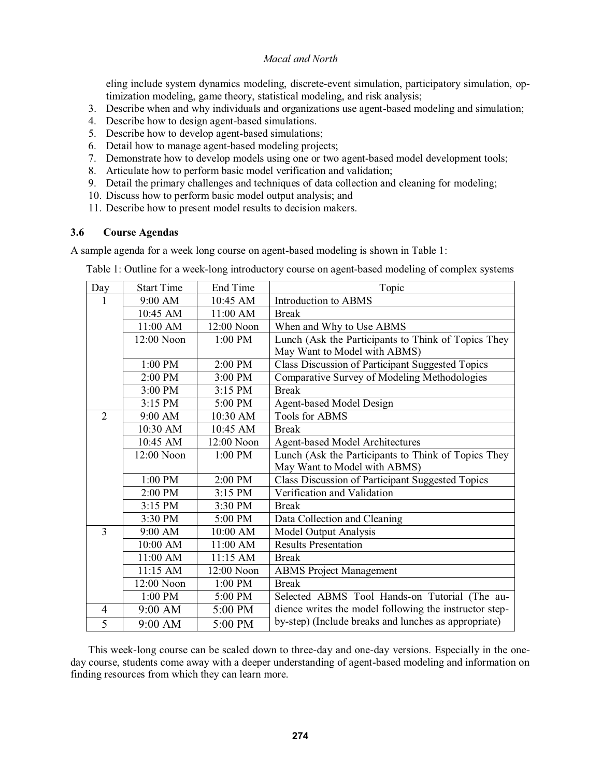eling include system dynamics modeling, discrete-event simulation, participatory simulation, optimization modeling, game theory, statistical modeling, and risk analysis;

- 3. Describe when and why individuals and organizations use agent-based modeling and simulation;
- 4. Describe how to design agent-based simulations.
- 5. Describe how to develop agent-based simulations;
- 6. Detail how to manage agent-based modeling projects;
- 7. Demonstrate how to develop models using one or two agent-based model development tools;
- 8. Articulate how to perform basic model verification and validation;
- 9. Detail the primary challenges and techniques of data collection and cleaning for modeling;
- 10. Discuss how to perform basic model output analysis; and
- 11. Describe how to present model results to decision makers.

#### **3.6 Course Agendas**

A sample agenda for a week long course on agent-based modeling is shown in Table 1:

Table 1: Outline for a week-long introductory course on agent-based modeling of complex systems

| Day            | <b>Start Time</b> | End Time   | Topic                                                  |
|----------------|-------------------|------------|--------------------------------------------------------|
|                | 9:00 AM           | 10:45 AM   | Introduction to ABMS                                   |
|                | 10:45 AM          | 11:00 AM   | <b>Break</b>                                           |
|                | 11:00 AM          | 12:00 Noon | When and Why to Use ABMS                               |
|                | 12:00 Noon        | 1:00 PM    | Lunch (Ask the Participants to Think of Topics They    |
|                |                   |            | May Want to Model with ABMS)                           |
|                | 1:00 PM           | 2:00 PM    | Class Discussion of Participant Suggested Topics       |
|                | 2:00 PM           | 3:00 PM    | Comparative Survey of Modeling Methodologies           |
|                | 3:00 PM           | 3:15 PM    | <b>Break</b>                                           |
|                | $3:15$ PM         | 5:00 PM    | <b>Agent-based Model Design</b>                        |
| $\overline{2}$ | 9:00 AM           | 10:30 AM   | <b>Tools for ABMS</b>                                  |
|                | 10:30 AM          | 10:45 AM   | <b>Break</b>                                           |
|                | 10:45 AM          | 12:00 Noon | <b>Agent-based Model Architectures</b>                 |
|                | 12:00 Noon        | $1:00$ PM  | Lunch (Ask the Participants to Think of Topics They    |
|                |                   |            | May Want to Model with ABMS)                           |
|                | 1:00 PM           | $2:00$ PM  | Class Discussion of Participant Suggested Topics       |
|                | $2:00$ PM         | $3:15$ PM  | Verification and Validation                            |
|                | 3:15 PM           | 3:30 PM    | <b>Break</b>                                           |
|                | 3:30 PM           | 5:00 PM    | Data Collection and Cleaning                           |
| $\overline{3}$ | 9:00 AM           | 10:00 AM   | Model Output Analysis                                  |
|                | 10:00 AM          | 11:00 AM   | <b>Results Presentation</b>                            |
|                | 11:00 AM          | $11:15$ AM | <b>Break</b>                                           |
|                | 11:15 AM          | 12:00 Noon | <b>ABMS</b> Project Management                         |
|                | 12:00 Noon        | 1:00 PM    | <b>Break</b>                                           |
|                | 1:00 PM           | 5:00 PM    | Selected ABMS Tool Hands-on Tutorial (The au-          |
| $\overline{4}$ | 9:00 AM           | 5:00 PM    | dience writes the model following the instructor step- |
| 5              | 9:00 AM           | 5:00 PM    | by-step) (Include breaks and lunches as appropriate)   |

This week-long course can be scaled down to three-day and one-day versions. Especially in the oneday course, students come away with a deeper understanding of agent-based modeling and information on finding resources from which they can learn more.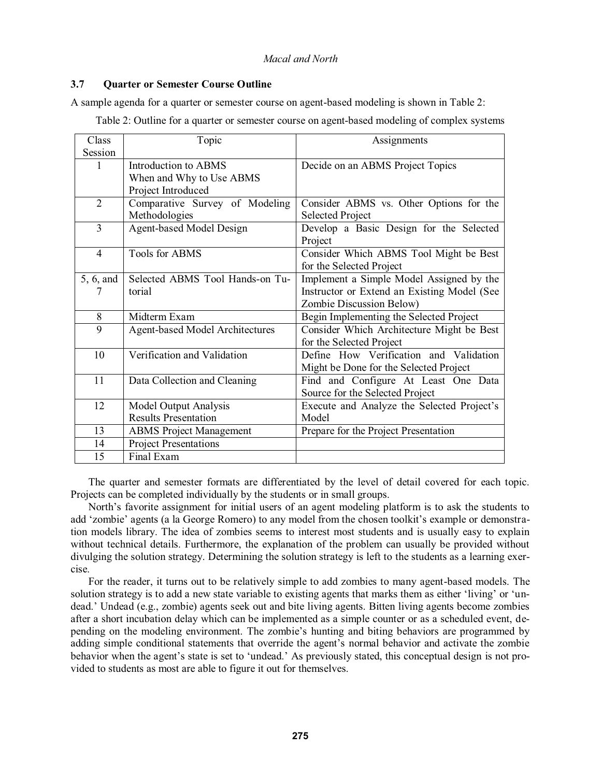## **3.7 Quarter or Semester Course Outline**

A sample agenda for a quarter or semester course on agent-based modeling is shown in Table 2:

| Class          | Topic                           | Assignments                                 |
|----------------|---------------------------------|---------------------------------------------|
| Session        |                                 |                                             |
| 1              | Introduction to ABMS            | Decide on an ABMS Project Topics            |
|                | When and Why to Use ABMS        |                                             |
|                | Project Introduced              |                                             |
| 2              | Comparative Survey of Modeling  | Consider ABMS vs. Other Options for the     |
|                | Methodologies                   | <b>Selected Project</b>                     |
| $\mathbf{3}$   | Agent-based Model Design        | Develop a Basic Design for the Selected     |
|                |                                 | Project                                     |
| $\overline{4}$ | Tools for ABMS                  | Consider Which ABMS Tool Might be Best      |
|                |                                 | for the Selected Project                    |
| 5, 6, and      | Selected ABMS Tool Hands-on Tu- | Implement a Simple Model Assigned by the    |
|                | torial                          | Instructor or Extend an Existing Model (See |
|                |                                 | Zombie Discussion Below)                    |
| 8              | Midterm Exam                    | Begin Implementing the Selected Project     |
| 9              | Agent-based Model Architectures | Consider Which Architecture Might be Best   |
|                |                                 | for the Selected Project                    |
| 10             | Verification and Validation     | Define How Verification and Validation      |
|                |                                 | Might be Done for the Selected Project      |
| 11             | Data Collection and Cleaning    | Find and Configure At Least One Data        |
|                |                                 | Source for the Selected Project             |
| 12             | Model Output Analysis           | Execute and Analyze the Selected Project's  |
|                | <b>Results Presentation</b>     | Model                                       |
| 13             | <b>ABMS</b> Project Management  | Prepare for the Project Presentation        |
| 14             | <b>Project Presentations</b>    |                                             |
| 15             | Final Exam                      |                                             |

Table 2: Outline for a quarter or semester course on agent-based modeling of complex systems

The quarter and semester formats are differentiated by the level of detail covered for each topic. Projects can be completed individually by the students or in small groups.

North's favorite assignment for initial users of an agent modeling platform is to ask the students to add 'zombie' agents (a la George Romero) to any model from the chosen toolkit's example or demonstration models library. The idea of zombies seems to interest most students and is usually easy to explain without technical details. Furthermore, the explanation of the problem can usually be provided without divulging the solution strategy. Determining the solution strategy is left to the students as a learning exercise.

For the reader, it turns out to be relatively simple to add zombies to many agent-based models. The solution strategy is to add a new state variable to existing agents that marks them as either 'living' or 'undead.' Undead (e.g., zombie) agents seek out and bite living agents. Bitten living agents become zombies after a short incubation delay which can be implemented as a simple counter or as a scheduled event, de pending on the modeling environment. The zombie's hunting and biting behaviors are programmed by adding simple conditional statements that override the agent's normal behavior and activate the zombie behavior when the agent's state is set to 'undead.' As previously stated, this conceptual design is not provided to students as most are able to figure it out for themselves.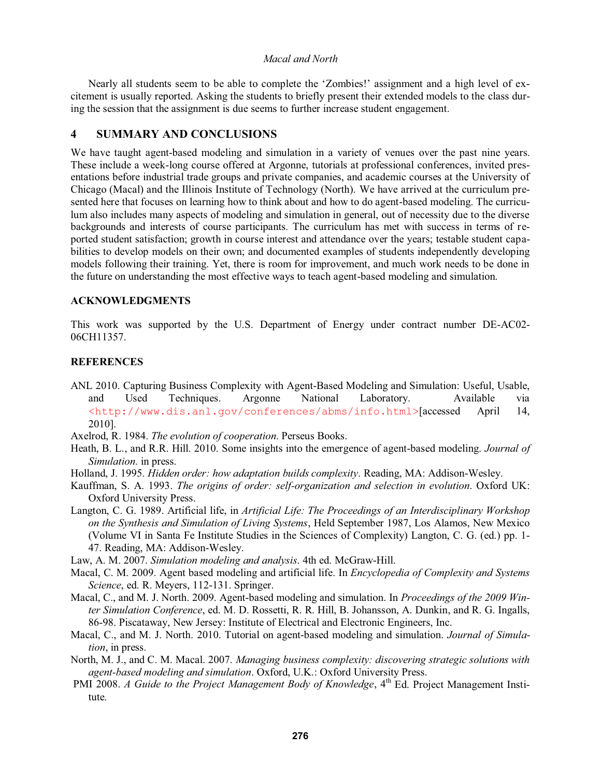Nearly all students seem to be able to complete the 'Zombies!' assignment and a high level of excitement is usually reported. Asking the students to briefly present their extended models to the class during the session that the assignment is due seems to further increase student engagement.

## **4 SUMMARY AND CONCLUSIONS**

We have taught agent-based modeling and simulation in a variety of venues over the past nine years. These include a week-long course offered at Argonne, tutorials at professional conferences, invited presentations before industrial trade groups and private companies, and academic courses at the University of Chicago (Macal) and the Illinois Institute of Technology (North). We have arrived at the curriculum presented here that focuses on learning how to think about and how to do agent-based modeling. The curriculum also includes many aspects of modeling and simulation in general, out of necessity due to the diverse backgrounds and interests of course participants. The curriculum has met with success in terms of reported student satisfaction; growth in course interest and attendance over the years; testable student capabilities to develop models on their own; and documented examples of students independently developing models following their training. Yet, there is room for improvement, and much work needs to be done in the future on understanding the most effective ways to teach agent-based modeling and simulation.

#### **ACKNOWLEDGMENTS**

This work was supported by the U.S. Department of Energy under contract number DE-AC02- 06CH11357.

#### **REFERENCES**

- ANL 2010. Capturing Business Complexity with Agent-Based Modeling and Simulation: Useful, Usable, and Used Techniques. Argonne National Laboratory. Available via <http://www.dis.anl.gov/conferences/abms/info.html>[accessed April 14, 2010].
- Axelrod, R. 1984. *The evolution of cooperation*. Perseus Books.
- Heath, B. L., and R.R. Hill. 2010. Some insights into the emergence of agent-based modeling. *Journal of Simulation*. in press.
- Holland, J. 1995. *Hidden order: how adaptation builds complexity*. Reading, MA: Addison-Wesley.
- Kauffman, S. A. 1993. *The origins of order: self-organization and selection in evolution*. Oxford UK: Oxford University Press.
- Langton, C. G. 1989. Artificial life, in *Artificial Life: The Proceedings of an Interdisciplinary Workshop on the Synthesis and Simulation of Living Systems*, Held September 1987, Los Alamos, New Mexico (Volume VI in Santa Fe Institute Studies in the Sciences of Complexity) Langton, C. G. (ed.) pp. 1- 47. Reading, MA: Addison-Wesley.
- Law, A. M. 2007. *Simulation modeling and analysis*. 4th ed. McGraw-Hill.
- Macal, C. M. 2009. Agent based modeling and artificial life. In *Encyclopedia of Complexity and Systems Science*, ed. R. Meyers, 112-131. Springer.
- Macal, C., and M. J. North. 2009. Agent-based modeling and simulation. In *Proceedings of the 2009 Winter Simulation Conference*, ed. M. D. Rossetti, R. R. Hill, B. Johansson, A. Dunkin, and R. G. Ingalls, 86-98. Piscataway, New Jersey: Institute of Electrical and Electronic Engineers, Inc.
- Macal, C., and M. J. North. 2010. Tutorial on agent-based modeling and simulation. *Journal of Simulation*, in press.
- North, M. J., and C. M. Macal. 2007. *Managing business complexity: discovering strategic solutions with agent-based modeling and simulation*. Oxford, U.K.: Oxford University Press.
- PMI 2008. *A Guide to the Project Management Body of Knowledge*, 4<sup>th</sup> Ed. Project Management Institute.